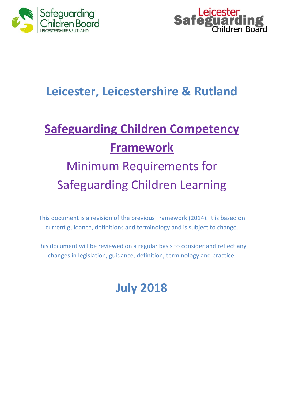



# **Leicester, Leicestershire & Rutland**

# **Safeguarding Children Competency Framework**

# Minimum Requirements for Safeguarding Children Learning

This document is a revision of the previous Framework (2014). It is based on current guidance, definitions and terminology and is subject to change.

This document will be reviewed on a regular basis to consider and reflect any changes in legislation, guidance, definition, terminology and practice.

# **July 2018**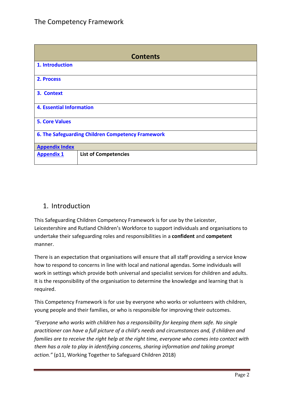| <b>Contents</b>                                   |                             |  |
|---------------------------------------------------|-----------------------------|--|
| 1. Introduction                                   |                             |  |
| 2. Process                                        |                             |  |
| 3. Context                                        |                             |  |
| <b>4. Essential Information</b>                   |                             |  |
| <b>5. Core Values</b>                             |                             |  |
| 6. The Safeguarding Children Competency Framework |                             |  |
| <b>Appendix Index</b>                             |                             |  |
| <b>Appendix 1</b>                                 | <b>List of Competencies</b> |  |

## 1. Introduction

This Safeguarding Children Competency Framework is for use by the Leicester, Leicestershire and Rutland Children's Workforce to support individuals and organisations to undertake their safeguarding roles and responsibilities in a **confident** and **competent**  manner.

There is an expectation that organisations will ensure that all staff providing a service know how to respond to concerns in line with local and national agendas. Some individuals will work in settings which provide both universal and specialist services for children and adults. It is the responsibility of the organisation to determine the knowledge and learning that is required.

This Competency Framework is for use by everyone who works or volunteers with children, young people and their families, or who is responsible for improving their outcomes.

*"Everyone who works with children has a responsibility for keeping them safe. No single practitioner can have a full picture of a child's needs and circumstances and, if children and families are to receive the right help at the right time, everyone who comes into contact with them has a role to play in identifying concerns, sharing information and taking prompt action."* (p11, Working Together to Safeguard Children 2018)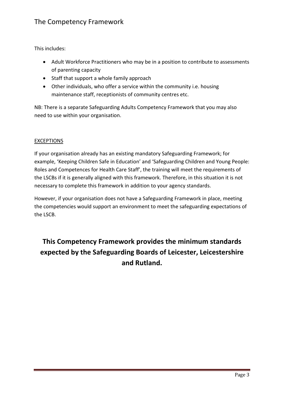This includes:

- Adult Workforce Practitioners who may be in a position to contribute to assessments of parenting capacity
- Staff that support a whole family approach
- Other individuals, who offer a service within the community i.e. housing maintenance staff, receptionists of community centres etc.

NB: There is a separate Safeguarding Adults Competency Framework that you may also need to use within your organisation.

#### **EXCEPTIONS**

If your organisation already has an existing mandatory Safeguarding Framework; for example, 'Keeping Children Safe in Education' and 'Safeguarding Children and Young People: Roles and Competences for Health Care Staff', the training will meet the requirements of the LSCBs if it is generally aligned with this framework. Therefore, in this situation it is not necessary to complete this framework in addition to your agency standards.

However, if your organisation does not have a Safeguarding Framework in place, meeting the competencies would support an environment to meet the safeguarding expectations of the LSCB.

# **This Competency Framework provides the minimum standards expected by the Safeguarding Boards of Leicester, Leicestershire and Rutland.**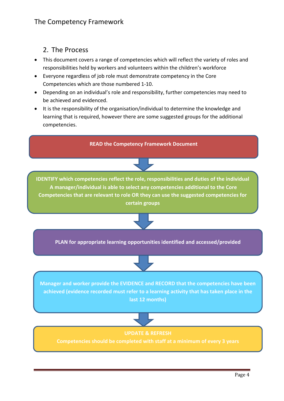## 2. The Process

- This document covers a range of competencies which will reflect the variety of roles and responsibilities held by workers and volunteers within the children's workforce
- Everyone regardless of job role must demonstrate competency in the Core Competencies which are those numbered 1-10.
- Depending on an individual's role and responsibility, further competencies may need to be achieved and evidenced.
- It is the responsibility of the organisation/individual to determine the knowledge and learning that is required, however there are some suggested groups for the additional competencies.

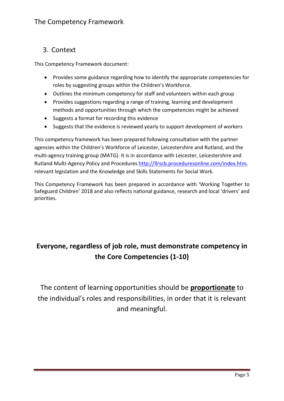#### 3. Context

This Competency Framework document:

- Provides some guidance regarding how to identify the appropriate competencies for roles by suggesting groups within the Children's Workforce.
- Outlines the minimum competency for staff and volunteers within each group
- Provides suggestions regarding a range of training, learning and development methods and opportunities through which the competencies might be achieved
- Suggests a format for recording this evidence
- Suggests that the evidence is reviewed yearly to support development of workers

This competency framework has been prepared following consultation with the partner agencies within the Children's Workforce of Leicester, Leicestershire and Rutland, and the multi-agency training group (MATG). It is in accordance with Leicester, Leicestershire and Rutland Multi-Agency Policy and Procedures [http://llrscb.proceduresonline.com/index.htm,](http://llrscb.proceduresonline.com/index.htm) relevant legislation and the Knowledge and Skills Statements for Social Work.

This Competency Framework has been prepared in accordance with 'Working Together to Safeguard Children' 2018 and also reflects national guidance, research and local 'drivers' and priorities.

# **Everyone, regardless of job role, must demonstrate competency in the Core Competencies (1-10)**

The content of learning opportunities should be **proportionate** to the individual's roles and responsibilities, in order that it is relevant and meaningful.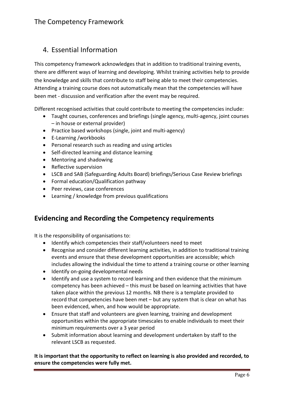# 4. Essential Information

This competency framework acknowledges that in addition to traditional training events, there are different ways of learning and developing. Whilst training activities help to provide the knowledge and skills that contribute to staff being able to meet their competencies. Attending a training course does not automatically mean that the competencies will have been met - discussion and verification after the event may be required.

Different recognised activities that could contribute to meeting the competencies include:

- Taught courses, conferences and briefings (single agency, multi-agency, joint courses – in house or external provider)
- Practice based workshops (single, joint and multi-agency)
- E-Learning /workbooks
- Personal research such as reading and using articles
- Self-directed learning and distance learning
- Mentoring and shadowing
- Reflective supervision
- LSCB and SAB (Safeguarding Adults Board) briefings/Serious Case Review briefings
- Formal education/Qualification pathway
- Peer reviews, case conferences
- Learning / knowledge from previous qualifications

#### **Evidencing and Recording the Competency requirements**

It is the responsibility of organisations to:

- Identify which competencies their staff/volunteers need to meet
- Recognise and consider different learning activities, in addition to traditional training events and ensure that these development opportunities are accessible; which includes allowing the individual the time to attend a training course or other learning
- Identify on-going developmental needs
- Identify and use a system to record learning and then evidence that the minimum competency has been achieved – this must be based on learning activities that have taken place within the previous 12 months. NB there is a template provided to record that competencies have been met – but any system that is clear on what has been evidenced, when, and how would be appropriate.
- Ensure that staff and volunteers are given learning, training and development opportunities within the appropriate timescales to enable individuals to meet their minimum requirements over a 3 year period
- Submit information about learning and development undertaken by staff to the relevant LSCB as requested.

**It is important that the opportunity to reflect on learning is also provided and recorded, to ensure the competencies were fully met.**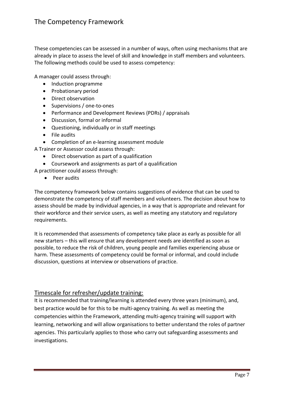These competencies can be assessed in a number of ways, often using mechanisms that are already in place to assess the level of skill and knowledge in staff members and volunteers. The following methods could be used to assess competency:

A manager could assess through:

- Induction programme
- Probationary period
- Direct observation
- Supervisions / one-to-ones
- Performance and Development Reviews (PDRs) / appraisals
- Discussion, formal or informal
- Questioning, individually or in staff meetings
- File audits
- Completion of an e-learning assessment module

A Trainer or Assessor could assess through:

- Direct observation as part of a qualification
- Coursework and assignments as part of a qualification

A practitioner could assess through:

• Peer audits

The competency framework below contains suggestions of evidence that can be used to demonstrate the competency of staff members and volunteers. The decision about how to assess should be made by individual agencies, in a way that is appropriate and relevant for their workforce and their service users, as well as meeting any statutory and regulatory requirements.

It is recommended that assessments of competency take place as early as possible for all new starters – this will ensure that any development needs are identified as soon as possible, to reduce the risk of children, young people and families experiencing abuse or harm. These assessments of competency could be formal or informal, and could include discussion, questions at interview or observations of practice.

#### Timescale for refresher/update training:

It is recommended that training/learning is attended every three years (minimum), and, best practice would be for this to be multi-agency training. As well as meeting the competencies within the Framework, attending multi-agency training will support with learning, networking and will allow organisations to better understand the roles of partner agencies. This particularly applies to those who carry out safeguarding assessments and investigations.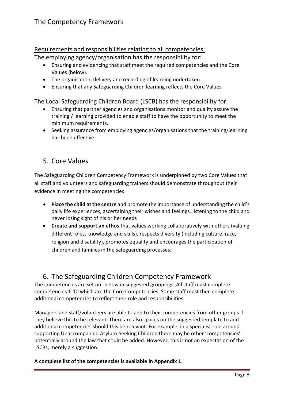#### Requirements and responsibilities relating to all competencies:

The employing agency/organisation has the responsibility for:

- Ensuring and evidencing that staff meet the required competencies and the Core Values (below).
- The organisation, delivery and recording of learning undertaken.
- Ensuring that any Safeguarding Children learning reflects the Core Values.

The Local Safeguarding Children Board (LSCB) has the responsibility for:

- Ensuring that partner agencies and organisations monitor and quality assure the training / learning provided to enable staff to have the opportunity to meet the minimum requirements.
- Seeking assurance from employing agencies/organisations that the training/learning has been effective

# 5. Core Values

The Safeguarding Children Competency Framework is underpinned by two Core Values that all staff and volunteers and safeguarding trainers should demonstrate throughout their evidence in meeting the competencies:

- **Place the child at the centre** and promote the importance of understanding the child's daily life experiences, ascertaining their wishes and feelings, listening to the child and never losing sight of his or her needs
- **Create and support an ethos** that values working collaboratively with others (valuing different roles, knowledge and skills), respects diversity (including culture, race, religion and disability), promotes equality and encourages the participation of children and families in the safeguarding processes.

## 6. The Safeguarding Children Competency Framework

The competencies are set out below in suggested groupings. All staff must complete competencies 1-10 which are the Core Competencies. Some staff must then complete additional competencies to reflect their role and responsibilities.

Managers and staff/volunteers are able to add to their competencies from other groups if they believe this to be relevant. There are also spaces on the suggested template to add additional competencies should this be relevant. For example, in a specialist role around supporting Unaccompanied Asylum-Seeking Children there may be other 'competencies' potentially around the law that could be added. However, this is not an expectation of the LSCBs, merely a suggestion.

**A complete list of the competencies is available in Appendix 1**.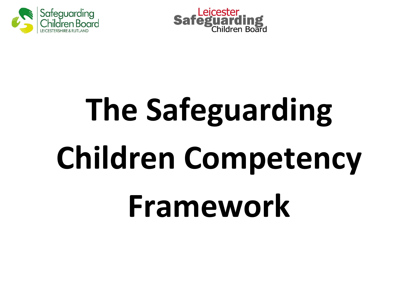



# **The Safeguarding Children Competency Framework**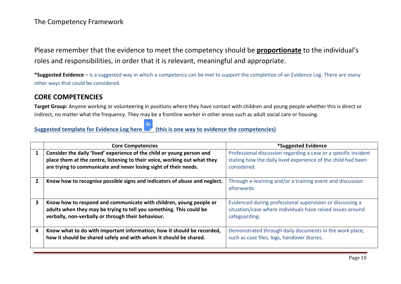Please remember that the evidence to meet the competency should be **proportionate** to the individual's roles and responsibilities, in order that it is relevant, meaningful and appropriate.

**\*Suggested Evidence** – is a suggested way in which a competency can be met to support the completion of an Evidence Log. There are many other ways that could be considered.

#### **CORE COMPETENCIES**

**Target Group:** Anyone working or volunteering in positions where they have contact with children and young people whether this is direct or indirect, no matter what the frequency. They may be a frontline worker in other areas such as adult social care or housing.

# **Suggested template for Evidence Log here [\(this is one way to evidence the competencies\)](http://www.lcitylscb.org/media/1512/core-competency-evidence-log.docx)**

|   | <b>Core Competencies</b>                                                                                                                                                                                                | *Suggested Evidence                                                                                                                            |
|---|-------------------------------------------------------------------------------------------------------------------------------------------------------------------------------------------------------------------------|------------------------------------------------------------------------------------------------------------------------------------------------|
| 1 | Consider the daily 'lived' experience of the child or young person and<br>place them at the centre, listening to their voice, working out what they<br>are trying to communicate and never losing sight of their needs. | Professional discussion regarding a case or a specific incident<br>stating how the daily lived experience of the child had been<br>considered. |
|   | Know how to recognise possible signs and indicators of abuse and neglect.                                                                                                                                               | Through e-learning and/or a training event and discussion<br>afterwards.                                                                       |
| 3 | Know how to respond and communicate with children, young people or<br>adults when they may be trying to tell you something. This could be<br>verbally, non-verbally or through their behaviour.                         | Evidenced during professional supervision or discussing a<br>situation/case where individuals have raised issues around<br>safeguarding.       |
| 4 | Know what to do with important information; how it should be recorded,<br>how it should be shared safely and with whom it should be shared.                                                                             | Demonstrated through daily documents in the work place,<br>such as case files, logs, handover diaries.                                         |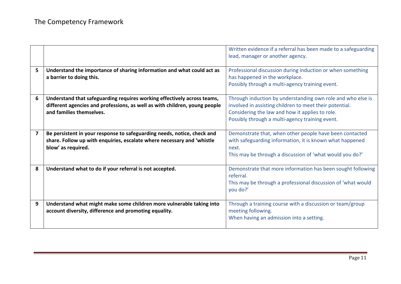|   |                                                                                                                                                                                   | Written evidence if a referral has been made to a safeguarding<br>lead, manager or another agency.                                                                                                                           |
|---|-----------------------------------------------------------------------------------------------------------------------------------------------------------------------------------|------------------------------------------------------------------------------------------------------------------------------------------------------------------------------------------------------------------------------|
| 5 | Understand the importance of sharing information and what could act as<br>a barrier to doing this.                                                                                | Professional discussion during induction or when something<br>has happened in the workplace.<br>Possibly through a multi-agency training event.                                                                              |
| 6 | Understand that safeguarding requires working effectively across teams,<br>different agencies and professions, as well as with children, young people<br>and families themselves. | Through induction by understanding own role and who else is<br>involved in assisting children to meet their potential.<br>Considering the law and how it applies to role.<br>Possibly through a multi-agency training event. |
| 7 | Be persistent in your response to safeguarding needs, notice, check and<br>share. Follow up with enquiries, escalate where necessary and 'whistle<br>blow' as required.           | Demonstrate that, when other people have been contacted<br>with safeguarding information, it is known what happened<br>next.<br>This may be through a discussion of 'what would you do?'                                     |
| 8 | Understand what to do if your referral is not accepted.                                                                                                                           | Demonstrate that more information has been sought following<br>referral.<br>This may be through a professional discussion of 'what would<br>you do?'                                                                         |
| 9 | Understand what might make some children more vulnerable taking into<br>account diversity, difference and promoting equality.                                                     | Through a training course with a discussion or team/group<br>meeting following.<br>When having an admission into a setting.                                                                                                  |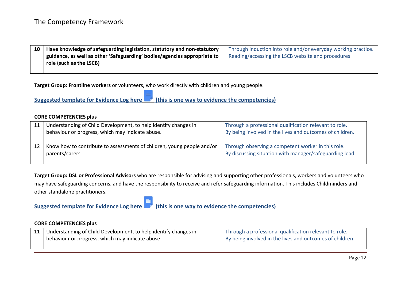| 10 Have knowledge of safeguarding legislation, statutory and non-statutory | Through induction into role and/or everyday working practice. |
|----------------------------------------------------------------------------|---------------------------------------------------------------|
| guidance, as well as other 'Safeguarding' bodies/agencies appropriate to   | Reading/accessing the LSCB website and procedures             |
| role (such as the LSCB)                                                    |                                                               |
|                                                                            |                                                               |

**Target Group: Frontline workers** or volunteers, who work directly with children and young people.

**Suggested template for Evidence Log here [\(this is one way to evidence the competencies\)](http://www.lcitylscb.org/media/1514/frontline-workers-competency-evidence-log.docx)**

#### **CORE COMPETENCIES plus**

| 11 | Understanding of Child Development, to help identify changes in<br>behaviour or progress, which may indicate abuse. | Through a professional qualification relevant to role.<br>By being involved in the lives and outcomes of children. |
|----|---------------------------------------------------------------------------------------------------------------------|--------------------------------------------------------------------------------------------------------------------|
|    | Know how to contribute to assessments of children, young people and/or<br>parents/carers                            | Through observing a competent worker in this role.<br>By discussing situation with manager/safeguarding lead.      |

**Target Group: DSL or Professional Advisors** who are responsible for advising and supporting other professionals, workers and volunteers who may have safeguarding concerns, and have the responsibility to receive and refer safeguarding information. This includes Childminders and other standalone practitioners.

**Suggested template for Evidence Log here [\(this is one way to evidence the competencies\)](http://www.lcitylscb.org/media/1513/dsl-or-professional-advisor-competency-evidence-log.docx)**

| 11   Understanding of Child Development, to help identify changes in | Through a professional qualification relevant to role.   |
|----------------------------------------------------------------------|----------------------------------------------------------|
| behaviour or progress, which may indicate abuse.                     | By being involved in the lives and outcomes of children. |
|                                                                      |                                                          |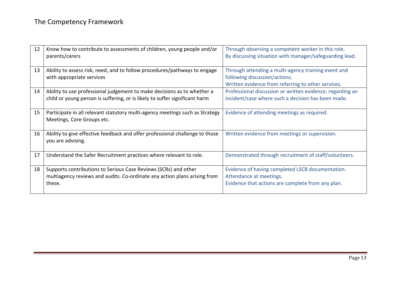| 12 | Know how to contribute to assessments of children, young people and/or<br>parents/carers                                                               | Through observing a competent worker in this role.<br>By discussing situation with manager/safeguarding lead.                              |
|----|--------------------------------------------------------------------------------------------------------------------------------------------------------|--------------------------------------------------------------------------------------------------------------------------------------------|
| 13 | Ability to assess risk, need, and to follow procedures/pathways to engage<br>with appropriate services                                                 | Through attending a multi-agency training event and<br>following discussion/actions.<br>Written evidence from referring to other services. |
| 14 | Ability to use professional judgement to make decisions as to whether a<br>child or young person is suffering, or is likely to suffer significant harm | Professional discussion or written evidence, regarding an<br>incident/case where such a decision has been made.                            |
| 15 | Participate in all relevant statutory multi-agency meetings such as Strategy<br>Meetings, Core Groups etc.                                             | Evidence of attending meetings as required.                                                                                                |
| 16 | Ability to give effective feedback and offer professional challenge to those<br>you are advising.                                                      | Written evidence from meetings or supervision.                                                                                             |
| 17 | Understand the Safer Recruitment practices where relevant to role.                                                                                     | Demonstrated through recruitment of staff/volunteers.                                                                                      |
| 18 | Supports contributions to Serious Case Reviews (SCRs) and other<br>multiagency reviews and audits. Co-ordinate any action plans arising from<br>these. | Evidence of having completed LSCB documentation.<br>Attendance at meetings.<br>Evidence that actions are complete from any plan.           |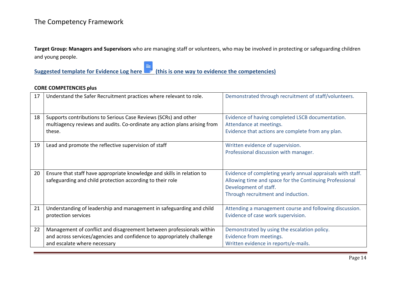**Target Group: Managers and Supervisors** who are managing staff or volunteers, who may be involved in protecting or safeguarding children and young people.

**Suggested template for Evidence Log here [\(this is one way to evidence the competencies\)](http://www.lcitylscb.org/media/1515/managers-and-supervisors-competency-evidence-log.docx)**

| 17 | Understand the Safer Recruitment practices where relevant to role.                                                                                                             | Demonstrated through recruitment of staff/volunteers.                                                                                                                                 |
|----|--------------------------------------------------------------------------------------------------------------------------------------------------------------------------------|---------------------------------------------------------------------------------------------------------------------------------------------------------------------------------------|
| 18 | Supports contributions to Serious Case Reviews (SCRs) and other<br>multiagency reviews and audits. Co-ordinate any action plans arising from<br>these.                         | Evidence of having completed LSCB documentation.<br>Attendance at meetings.<br>Evidence that actions are complete from any plan.                                                      |
| 19 | Lead and promote the reflective supervision of staff                                                                                                                           | Written evidence of supervision.<br>Professional discussion with manager.                                                                                                             |
| 20 | Ensure that staff have appropriate knowledge and skills in relation to<br>safeguarding and child protection according to their role                                            | Evidence of completing yearly annual appraisals with staff.<br>Allowing time and space for the Continuing Professional<br>Development of staff.<br>Through recruitment and induction. |
| 21 | Understanding of leadership and management in safeguarding and child<br>protection services                                                                                    | Attending a management course and following discussion.<br>Evidence of case work supervision.                                                                                         |
| 22 | Management of conflict and disagreement between professionals within<br>and across services/agencies and confidence to appropriately challenge<br>and escalate where necessary | Demonstrated by using the escalation policy.<br>Evidence from meetings.<br>Written evidence in reports/e-mails.                                                                       |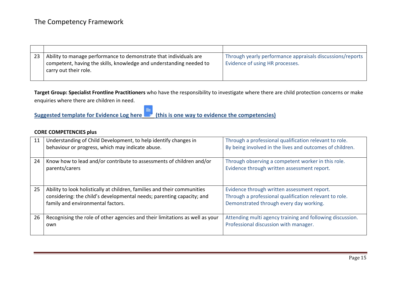| Ability to manage performance to demonstrate that individuals are                            | Through yearly performance appraisals discussions/reports |
|----------------------------------------------------------------------------------------------|-----------------------------------------------------------|
| competent, having the skills, knowledge and understanding needed to<br>carry out their role. | Evidence of using HR processes.                           |
|                                                                                              |                                                           |

**Target Group: Specialist Frontline Practitioners** who have the responsibility to investigate where there are child protection concerns or make enquiries where there are children in need.

**Suggested template for Evidence Log here [\(this is one way to evidence the competencies\)](http://www.lcitylscb.org/media/1517/specialist-frontline-practitioners-competency-evidence-log.docx)**

| 11 | Understanding of Child Development, to help identify changes in<br>behaviour or progress, which may indicate abuse.                                                                    | Through a professional qualification relevant to role.<br>By being involved in the lives and outcomes of children.                               |
|----|----------------------------------------------------------------------------------------------------------------------------------------------------------------------------------------|--------------------------------------------------------------------------------------------------------------------------------------------------|
| 24 | Know how to lead and/or contribute to assessments of children and/or<br>parents/carers                                                                                                 | Through observing a competent worker in this role.<br>Evidence through written assessment report.                                                |
| 25 | Ability to look holistically at children, families and their communities<br>considering: the child's developmental needs; parenting capacity; and<br>family and environmental factors. | Evidence through written assessment report.<br>Through a professional qualification relevant to role.<br>Demonstrated through every day working. |
| 26 | Recognising the role of other agencies and their limitations as well as your<br>own                                                                                                    | Attending multi agency training and following discussion.<br>Professional discussion with manager.                                               |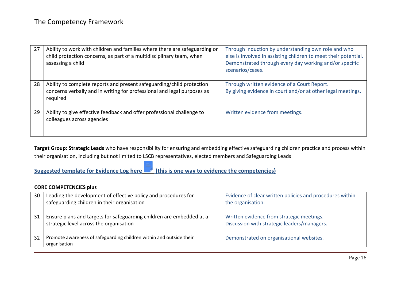| 27 | Ability to work with children and families where there are safeguarding or<br>child protection concerns, as part of a multidisciplinary team, when<br>assessing a child | Through induction by understanding own role and who<br>else is involved in assisting children to meet their potential.<br>Demonstrated through every day working and/or specific<br>scenarios/cases. |
|----|-------------------------------------------------------------------------------------------------------------------------------------------------------------------------|------------------------------------------------------------------------------------------------------------------------------------------------------------------------------------------------------|
| 28 | Ability to complete reports and present safeguarding/child protection<br>concerns verbally and in writing for professional and legal purposes as<br>required            | Through written evidence of a Court Report.<br>By giving evidence in court and/or at other legal meetings.                                                                                           |
| 29 | Ability to give effective feedback and offer professional challenge to<br>colleagues across agencies                                                                    | Written evidence from meetings.                                                                                                                                                                      |

**Target Group: Strategic Leads** who have responsibility for ensuring and embedding effective safeguarding children practice and process within their organisation, including but not limited to LSCB representatives, elected members and Safeguarding Leads

**Suggested template for Evidence Log here [\(this is one way to evidence the competencies\)](http://www.lcitylscb.org/media/1516/strategic-leads-competency-evidence-log.docx)**

| 30 | Leading the development of effective policy and procedures for<br>safeguarding children in their organisation   | Evidence of clear written policies and procedures within<br>the organisation.            |
|----|-----------------------------------------------------------------------------------------------------------------|------------------------------------------------------------------------------------------|
| 31 | Ensure plans and targets for safeguarding children are embedded at a<br>strategic level across the organisation | Written evidence from strategic meetings.<br>Discussion with strategic leaders/managers. |
| 32 | Promote awareness of safeguarding children within and outside their<br>organisation                             | Demonstrated on organisational websites.                                                 |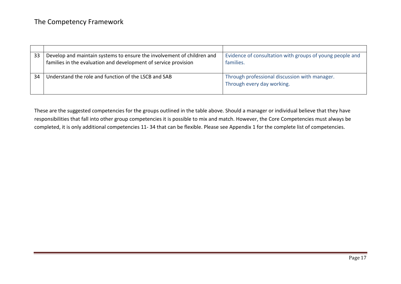| 33 | Develop and maintain systems to ensure the involvement of children and<br>families in the evaluation and development of service provision | Evidence of consultation with groups of young people and<br>families.       |
|----|-------------------------------------------------------------------------------------------------------------------------------------------|-----------------------------------------------------------------------------|
| 34 | Understand the role and function of the LSCB and SAB                                                                                      | Through professional discussion with manager.<br>Through every day working. |

These are the suggested competencies for the groups outlined in the table above. Should a manager or individual believe that they have responsibilities that fall into other group competencies it is possible to mix and match. However, the Core Competencies must always be completed, it is only additional competencies 11- 34 that can be flexible. Please see Appendix 1 for the complete list of competencies.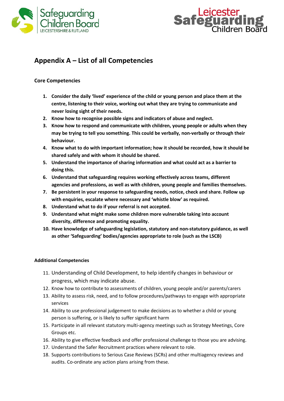



## **Appendix A – List of all Competencies**

#### **Core Competencies**

- **1. Consider the daily 'lived' experience of the child or young person and place them at the centre, listening to their voice, working out what they are trying to communicate and never losing sight of their needs.**
- **2. Know how to recognise possible signs and indicators of abuse and neglect.**
- **3. Know how to respond and communicate with children, young people or adults when they may be trying to tell you something. This could be verbally, non-verbally or through their behaviour.**
- **4. Know what to do with important information; how it should be recorded, how it should be shared safely and with whom it should be shared.**
- **5. Understand the importance of sharing information and what could act as a barrier to doing this.**
- **6. Understand that safeguarding requires working effectively across teams, different agencies and professions, as well as with children, young people and families themselves.**
- **7. Be persistent in your response to safeguarding needs, notice, check and share. Follow up with enquiries, escalate where necessary and 'whistle blow' as required.**
- **8. Understand what to do if your referral is not accepted.**
- **9. Understand what might make some children more vulnerable taking into account diversity, difference and promoting equality.**
- **10. Have knowledge of safeguarding legislation, statutory and non-statutory guidance, as well as other 'Safeguarding' bodies/agencies appropriate to role (such as the LSCB)**

#### **Additional Competencies**

- 11. Understanding of Child Development, to help identify changes in behaviour or progress, which may indicate abuse.
- 12. Know how to contribute to assessments of children, young people and/or parents/carers
- 13. Ability to assess risk, need, and to follow procedures/pathways to engage with appropriate services
- 14. Ability to use professional judgement to make decisions as to whether a child or young person is suffering, or is likely to suffer significant harm
- 15. Participate in all relevant statutory multi-agency meetings such as Strategy Meetings, Core Groups etc.
- 16. Ability to give effective feedback and offer professional challenge to those you are advising.
- 17. Understand the Safer Recruitment practices where relevant to role.
- 18. Supports contributions to Serious Case Reviews (SCRs) and other multiagency reviews and audits. Co-ordinate any action plans arising from these.